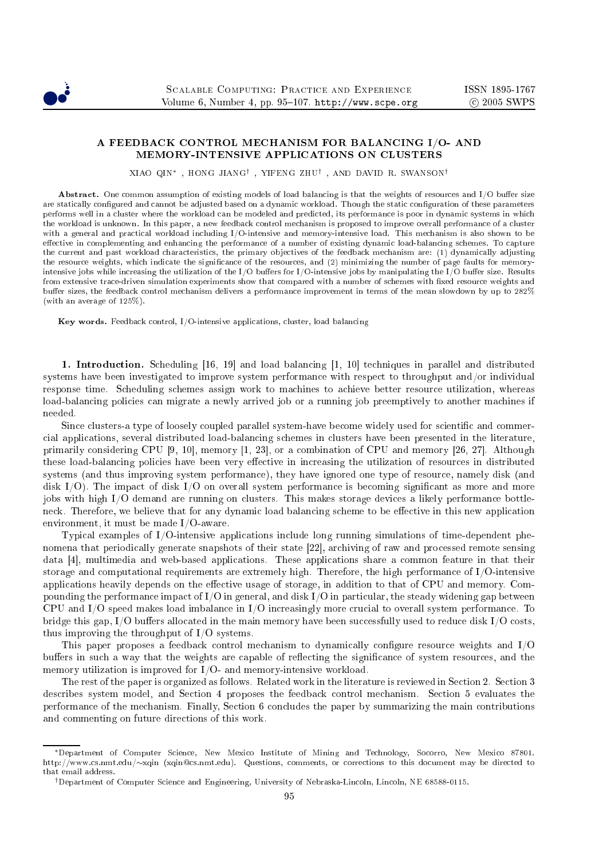

# A FEEDBACK CONTROL MECHANISM FOR BALANCING I/O- AND

XIAO QIN∗ , HONG JIANG† , YIFENG ZHU† , AND DAVID R. SWANSON†

Abstract. One common assumption of existing models of load balancing is that the weights of resources and I/O buffer size are statically configured and cannot be adjusted based on a dynamic workload. Though the static configuration of these parameters performs well in a cluster where the workload can be modeled and predicted, its performance is poor in dynamic systems in which the workload is unknown. In this paper, a new feedback control mechanism is proposed to improve overall performance of a cluster with a general and practical workload including I/O-intensive and memory-intensive load. This mechanism is also shown to be effective in complementing and enhancing the performance of a number of existing dynamic load-balancing schemes. To capture the current and past workload characteristics, the primary objectives of the feedback mechanism are: (1) dynamically adjusting the resource weights, which indicate the significance of the resources, and (2) minimizing the number of page faults for memoryintensive jobs while increasing the utilization of the I/O buffers for I/O-intensive jobs by manipulating the I/O buffer size. Results from extensive trace-driven simulation experiments show that compared with a number of schemes with fixed resource weights and buffer sizes, the feedback control mechanism delivers a performance improvement in terms of the mean slowdown by up to 282% (with an average of 125%).

Key words. Feedback control, I/O-intensive applications, cluster, load balancing

1. Introduction. Scheduling  $[16, 19]$  and load balancing  $[1, 10]$  techniques in parallel and distributed systems have been investigated to improve system performance with respect to throughput and/or individual response time. S
heduling s
hemes assign work to ma
hines to a
hieve better resour
e utilization, whereas load-balancing policies can migrate a newly arrived job or a running job preemptively to another machines if

Since clusters-a type of loosely coupled parallel system-have become widely used for scientific and commerial appli
ations, several distributed load-balan
ing s
hemes in lusters have been presented in the literature, primarily considering CPU  $[9, 10]$ , memory  $[1, 23]$ , or a combination of CPU and memory  $[26, 27]$ . Although these load-balancing policies have been very effective in increasing the utilization of resources in distributed systems (and thus improving system performan
e), they have ignored one type of resour
e, namely disk (and disk  $I/O$ ). The impact of disk  $I/O$  on overall system performance is becoming significant as more and more jobs with high I/O demand are running on clusters. This makes storage devices a likely performance bottleneck. Therefore, we believe that for any dynamic load balancing scheme to be effective in this new application environment, it must be made I/O-aware.

Typical examples of I/O-intensive applications include long running simulations of time-dependent phenomena that periodically generate snapshots of their state [22], archiving of raw and processed remote sensing data [4], multimedia and web-based applications. These applications share a common feature in that their storage and computational requirements are extremely high. Therefore, the high performance of I/O-intensive applications heavily depends on the effective usage of storage, in addition to that of CPU and memory. Compounding the performance impact of I/O in general, and disk I/O in particular, the steady widening gap between CPU and I/O speed makes load imbalance in I/O increasingly more crucial to overall system performance. To bridge this gap,  $I/O$  buffers allocated in the main memory have been successfully used to reduce disk  $I/O$  costs, thus improving the throughput of I/O systems.

This paper proposes a feedback control mechanism to dynamically configure resource weights and I/O buffers in such a way that the weights are capable of reflecting the significance of system resources, and the memory utilization is improved for I/O- and memory-intensive workload.

The rest of the paper is organized as follows. Related work in the literature is reviewed in Section 2. Section 3 describes system model, and Section 4 proposes the feedback control mechanism. Section 5 evaluates the performan
e of the me
hanism. Finally, Se
tion 6 on
ludes the paper by summarizing the main ontributions and ommenting on future dire
tions of this work.

<sup>∗</sup>Department of Computer S
ien
e, New Mexi
o Institute of Mining and Te
hnology, So
orro, New Mexi
o 87801. http://www.cs.nmt.edu/∼xqin (xqin@cs.nmt.edu). Questions, comments, or corrections to this document may be directed to

<sup>&</sup>lt;sup>†</sup>Department of Computer Science and Engineering, University of Nebraska-Lincoln, Lincoln, NE 68588-0115.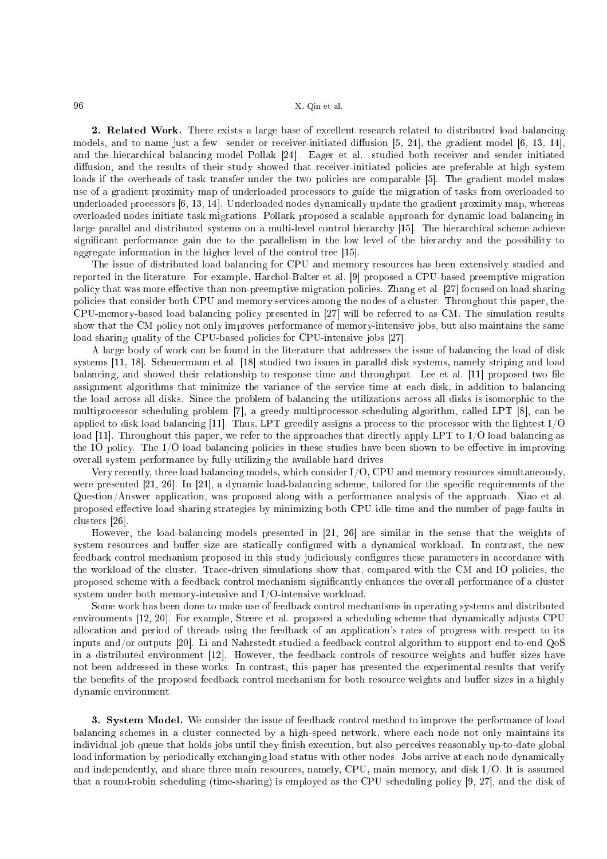2. Related Work. There exists a large base of excellent research related to distributed load balancing models, and to name just a few: sender or receiver-initiated diffusion  $[5, 24]$ , the gradient model  $[6, 13, 14]$ , and the hierarchical balancing model Pollak [24]. Eager et al. studied both receiver and sender initiated diffusion, and the results of their study showed that receiver-initiated policies are preferable at high system loads if the overheads of task transfer under the two policies are comparable [5]. The gradient model makes use of a gradient proximity map of underloaded pro
essors to guide the migration of tasks from overloaded to underloaded processors [6, 13, 14]. Underloaded nodes dynamically update the gradient proximity map, whereas overloaded nodes initiate task migrations. Pollark proposed a s
alable approa
h for dynami load balan
ing in large parallel and distributed systems on a multi-level control hierarchy [15]. The hierarchical scheme achieve significant performance gain due to the parallelism in the low level of the hierarchy and the possibility to aggregate information in the higher level of the control tree  $[15]$ .

The issue of distributed load balan
ing for CPU and memory resour
es has been extensively studied and reported in the literature. For example, Harchol-Balter et al. [9] proposed a CPU-based preemptive migration policy that was more effective than non-preemptive migration policies. Zhang et al. [27] focused on load sharing policies that consider both CPU and memory services among the nodes of a cluster. Throughout this paper, the CPU-memory-based load balancing policy presented in [27] will be referred to as CM. The simulation results show that the CM policy not only improves performance of memory-intensive jobs, but also maintains the same load sharing quality of the CPU-based policies for CPU-intensive jobs [27].

A large body of work an be found in the literature that addresses the issue of balan
ing the load of disk systems [11, 18]. Scheuermann et al. [18] studied two issues in parallel disk systems, namely striping and load balancing, and showed their relationship to response time and throughput. Lee et al. [11] proposed two file assignment algorithms that minimize the variance of the service time at each disk, in addition to balancing the load across all disks. Since the problem of balancing the utilizations across all disks is isomorphic to the multiprocessor scheduling problem [7], a greedy multiprocessor-scheduling algorithm, called LPT [8], can be applied to disk load balancing [11]. Thus, LPT greedily assigns a process to the processor with the lightest  $I/O$ load [11]. Throughout this paper, we refer to the approaches that directly apply LPT to  $I/O$  load balancing as the IO policy. The I/O load balancing policies in these studies have been shown to be effective in improving overall system performan
e by fully utilizing the available hard drives.

Very recently, three load balancing models, which consider I/O, CPU and memory resources simultaneously, were presented  $[21, 26]$ . In  $[21]$ , a dynamic load-balancing scheme, tailored for the specific requirements of the Question/Answer appli
ation, was proposed along with a performan
e analysis of the approa
h. Xiao et al. proposed effective load sharing strategies by minimizing both CPU idle time and the number of page faults in clusters [26].

However, the load-balancing models presented in [21, 26] are similar in the sense that the weights of system resources and buffer size are statically configured with a dynamical workload. In contrast, the new feedback control mechanism proposed in this study judiciously configures these parameters in accordance with the workload of the cluster. Trace-driven simulations show that, compared with the CM and IO policies, the proposed scheme with a feedback control mechanism significantly enhances the overall performance of a cluster system under both memory-intensive and I/O-intensive workload.

Some work has been done to make use of feedba
k ontrol me
hanisms in operating systems and distributed environments [12, 20]. For example, Steere et al. proposed a scheduling scheme that dynamically adjusts CPU allo
ation and period of threads using the feedba
k of an appli
ation's rates of progress with respe
t to its inputs and/or outputs [20]. Li and Nahrstedt studied a feedback control algorithm to support end-to-end QoS in a distributed environment [12]. However, the feedback controls of resource weights and buffer sizes have not been addressed in these works. In ontrast, this paper has presented the experimental results that verify the benefits of the proposed feedback control mechanism for both resource weights and buffer sizes in a highly dynami environment.

3. System Model. We consider the issue of feedback control method to improve the performance of load balan
ing s
hemes in a luster onne
ted by a high-speed network, where ea
h node not only maintains its individual job queue that holds jobs until they finish execution, but also perceives reasonably up-to-date global load information by periodically exchanging load status with other nodes. Jobs arrive at each node dynamically and independently, and share three main resour
es, namely, CPU, main memory, and disk I/O. It is assumed that a round-robin scheduling (time-sharing) is employed as the CPU scheduling policy [9, 27], and the disk of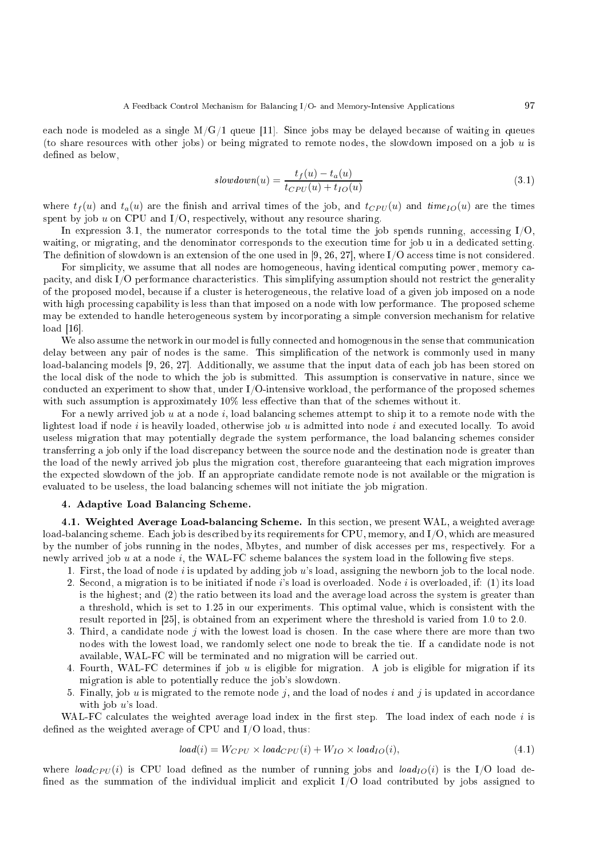each node is modeled as a single  $M/G/1$  queue [11]. Since jobs may be delayed because of waiting in queues (to share resources with other jobs) or being migrated to remote nodes, the slowdown imposed on a job  $u$  is defined as below,

$$
slowdown(u) = \frac{t_f(u) - t_a(u)}{t_{CPU}(u) + t_{IO}(u)}
$$
\n
$$
(3.1)
$$

where  $t_f(u)$  and  $t_a(u)$  are the finish and arrival times of the job, and  $t_{CPU}(u)$  and  $time_{IO}(u)$  are the times spent by job  $u$  on CPU and I/O, respectively, without any resource sharing.

In expression 3.1, the numerator corresponds to the total time the job spends running, accessing  $I/O$ . waiting, or migrating, and the denominator corresponds to the execution time for job u in a dedicated setting. The definition of slowdown is an extension of the one used in [9, 26, 27], where I/O access time is not considered.

For simplicity, we assume that all nodes are homogeneous, having identical computing power, memory capacity, and disk I/O performance characteristics. This simplifying assumption should not restrict the generality of the proposed model, be
ause if a luster is heterogeneous, the relative load of a given job imposed on a node with high processing capability is less than that imposed on a node with low performance. The proposed scheme may be extended to handle heterogeneous system by in
orporating a simple onversion me
hanism for relative  $load [16]$ .

We also assume the network in our model is fully connected and homogenous in the sense that communication delay between any pair of nodes is the same. This simplification of the network is commonly used in many load-balancing models [9, 26, 27]. Additionally, we assume that the input data of each job has been stored on the local disk of the node to which the job is submitted. This assumption is conservative in nature, since we ondu
ted an experiment to show that, under I/O-intensive workload, the performan
e of the proposed s
hemes with such assumption is approximately  $10\%$  less effective than that of the schemes without it.

For a newly arrived job  $u$  at a node  $i$ , load balancing schemes attempt to ship it to a remote node with the lightest load if node  $i$  is heavily loaded, otherwise job  $u$  is admitted into node  $i$  and executed locally. To avoid useless migration that may potentially degrade the system performan
e, the load balan
ing s
hemes onsider transferring a job only if the load dis
repan
y between the sour
e node and the destination node is greater than the load of the newly arrived job plus the migration cost, therefore guaranteeing that each migration improves the expe
ted slowdown of the job. If an appropriate andidate remote node is not available or the migration is evaluated to be useless, the load balancing schemes will not initiate the job migration.

#### 4. Adaptive Load Balan
ing S
heme.

4.1. Weighted Average Load-balancing Scheme. In this section, we present WAL, a weighted average load-balancing scheme. Each job is described by its requirements for CPU, memory, and I/O, which are measured by the number of jobs running in the nodes, Mbytes, and number of disk accesses per ms, respectively. For a newly arrived job u at a node i, the WAL-FC scheme balances the system load in the following five steps.

- 1. First, the load of node i is updated by adding job  $u$ 's load, assigning the newborn job to the local node.
- 2. Se
ond, a migration is to be initiated if node i's load is overloaded. Node i is overloaded, if: (1) its load is the highest; and (2) the ratio between its load and the average load across the system is greater than a threshold, which is set to 1.25 in our experiments. This optimal value, which is consistent with the result reported in  $[25]$ , is obtained from an experiment where the threshold is varied from 1.0 to 2.0.
- 3. Third, a candidate node  $j$  with the lowest load is chosen. In the case where there are more than two nodes with the lowest load, we randomly sele
t one node to break the tie. If a andidate node is not available, WAL-FC will be terminated and no migration will be arried out.
- 4. Fourth, WAL-FC determines if job  $u$  is eligible for migration. A job is eligible for migration if its migration is able to potentially redu
e the job's slowdown.
- 5. Finally, job u is migrated to the remote node j, and the load of nodes i and j is updated in accordance with job u's load.

WAL-FC calculates the weighted average load index in the first step. The load index of each node  $i$  is defined as the weighted average of CPU and  $I/O$  load, thus:

$$
load(i) = W_{CPU} \times load_{CPU}(i) + W_{IO} \times load_{IO}(i),
$$
\n(4.1)

where load<sub>CPU</sub>(i) is CPU load defined as the number of running jobs and load<sub>IO</sub>(i) is the I/O load defined as the summation of the individual implicit and explicit  $I/O$  load contributed by jobs assigned to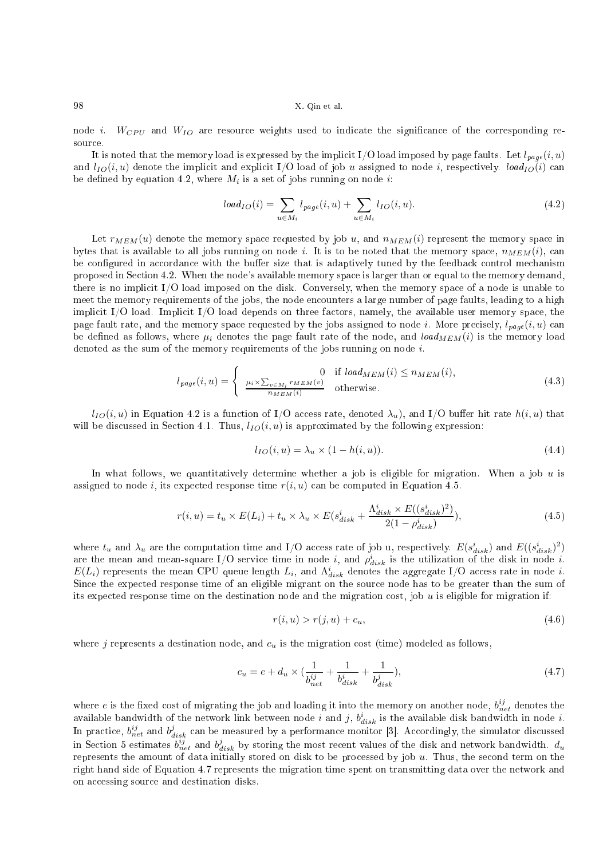node *i*.  $W_{CPU}$  and  $W_{IO}$  are resource weights used to indicate the significance of the corresponding resour
e.

It is noted that the memory load is expressed by the implicit I/O load imposed by page faults. Let  $l_{page}(i, u)$ and  $l_{IO}(i, u)$  denote the implicit and explicit I/O load of job u assigned to node i, respectively.  $load_{IO}(i)$  can be defined by equation 4.2, where  $M_i$  is a set of jobs running on node  $i$ :

$$
load_{IO}(i) = \sum_{u \in M_i} l_{page}(i, u) + \sum_{u \in M_i} l_{IO}(i, u).
$$
\n(4.2)

Let  $r_{MEM}(u)$  denote the memory space requested by job u, and  $n_{MEM}(i)$  represent the memory space in bytes that is available to all jobs running on node i. It is to be noted that the memory space,  $n_{MEM}(i)$ , can be configured in accordance with the buffer size that is adaptively tuned by the feedback control mechanism proposed in Se
tion 4.2. When the node's available memory spa
e is larger than or equal to the memory demand, there is no implicit I/O load imposed on the disk. Conversely, when the memory space of a node is unable to meet the memory requirements of the jobs, the node encounters a large number of page faults, leading to a high implicit  $I/O$  load. Implicit  $I/O$  load depends on three factors, namely, the available user memory space, the page fault rate, and the memory space requested by the jobs assigned to node i. More precisely,  $l_{paq}e(i, u)$  can be defined as follows, where  $\mu_i$  denotes the page fault rate of the node, and load $_{MEM}(i)$  is the memory load denoted as the sum of the memory requirements of the jobs running on node i.

$$
l_{page}(i, u) = \begin{cases} 0 & \text{if } load_{MEM}(i) \le n_{MEM}(i), \\ \frac{\mu_i \times \sum_{v \in M_i} r_{MEM}(v)}{n_{MEM}(i)} & \text{otherwise.} \end{cases}
$$
(4.3)

 $l_{IO}(i, u)$  in Equation 4.2 is a function of I/O access rate, denoted  $\lambda_u$ ), and I/O buffer hit rate  $h(i, u)$  that will be discussed in Section 4.1. Thus,  $l_{IO}(i, u)$  is approximated by the following expression:

$$
l_{IO}(i, u) = \lambda_u \times (1 - h(i, u)).
$$
\n
$$
(4.4)
$$

In what follows, we quantitatively determine whether a job is eligible for migration. When a job  $u$  is assigned to node i, its expected response time  $r(i, u)$  can be computed in Equation 4.5.

$$
r(i, u) = t_u \times E(L_i) + t_u \times \lambda_u \times E(s_{disk}^i + \frac{\Lambda_{disk}^i \times E((s_{disk}^i)^2)}{2(1 - \rho_{disk}^i)}),
$$
\n(4.5)

where  $t_u$  and  $\lambda_u$  are the computation time and I/O access rate of job u, respectively.  $E(s_{disk}^i)$  and  $E((s_{disk}^i)^2)$ are the mean and mean-square I/O service time in node i, and  $\rho_{disk}^i$  is the utilization of the disk in node i.  $E(L_i)$  represents the mean CPU queue length  $L_i$ , and  $\Lambda_{disk}^i$  denotes the aggregate I/O access rate in node i. Sin
e the expe
ted response time of an eligible migrant on the sour
e node has to be greater than the sum of its expected response time on the destination node and the migration cost, job  $u$  is eligible for migration if:

$$
r(i, u) > r(j, u) + c_u,\tag{4.6}
$$

where j represents a destination node, and  $c<sub>u</sub>$  is the migration cost (time) modeled as follows,

$$
c_u = e + d_u \times (\frac{1}{b_{net}^{ij}} + \frac{1}{b_{disk}^{i}} + \frac{1}{b_{disk}^{j}}),
$$
\n(4.7)

where e is the fixed cost of migrating the job and loading it into the memory on another node,  $b_{net}^{ij}$  denotes the available bandwidth of the network link between node i and j,  $b_{disk}^i$  is the available disk bandwidth in node i. In practice,  $b_{net}^{ij}$  and  $b_{disk}^j$  can be measured by a performance monitor [3]. Accordingly, the simulator discussed in Section 5 estimates  $b_{net}^{ij}$  and  $b_{disk}^j$  by storing the most recent values of the disk and network bandwidth.  $d_u$ represents the amount of data initially stored on disk to be processed by job  $u$ . Thus, the second term on the right hand side of Equation 4.7 represents the migration time spent on transmitting data over the network and on accessing source and destination disks.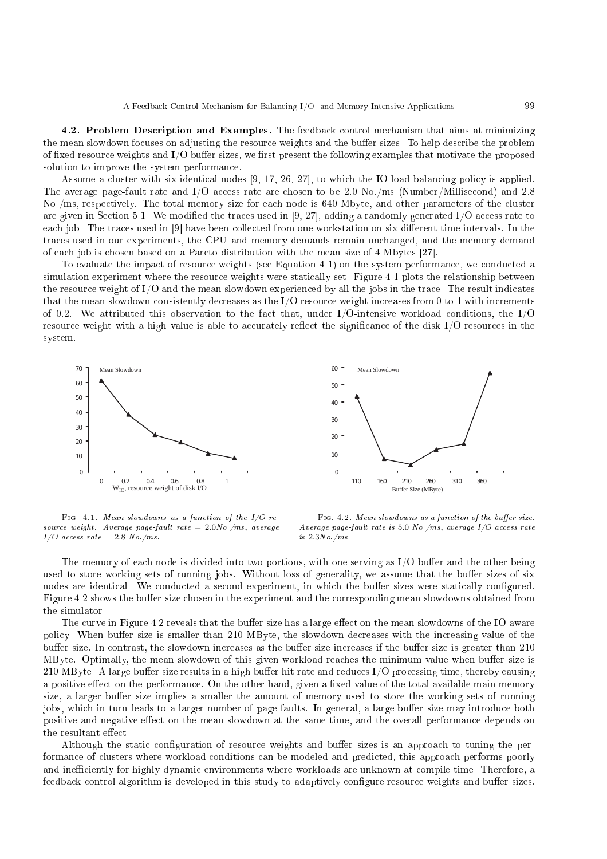4.2. Problem Des
ription and Examples. The feedba
k ontrol me
hanism that aims at minimizing the mean slowdown focuses on adjusting the resource weights and the buffer sizes. To help describe the problem of fixed resource weights and  $I/O$  buffer sizes, we first present the following examples that motivate the proposed solution to improve the system performan
e.

Assume a cluster with six identical nodes  $[9, 17, 26, 27]$ , to which the IO load-balancing policy is applied. The average page-fault rate and  $I/O$  access rate are chosen to be 2.0 No./ms (Number/Millisecond) and 2.8 No./ms, respe
tively. The total memory size for ea
h node is 640 Mbyte, and other parameters of the luster are given in Section 5.1. We modified the traces used in [9, 27], adding a randomly generated I/O access rate to each job. The traces used in [9] have been collected from one workstation on six different time intervals. In the tra
es used in our experiments, the CPU and memory demands remain un
hanged, and the memory demand of each job is chosen based on a Pareto distribution with the mean size of 4 Mbytes [27].

To evaluate the impact of resource weights (see Equation 4.1) on the system performance, we conducted a simulation experiment where the resource weights were statically set. Figure 4.1 plots the relationship between the resource weight of I/O and the mean slowdown experienced by all the jobs in the trace. The result indicates that the mean slowdown consistently decreases as the I/O resource weight increases from 0 to 1 with increments of 0.2. We attributed this observation to the fact that, under I/O-intensive workload conditions, the I/O resource weight with a high value is able to accurately reflect the significance of the disk I/O resources in the system.





FIG. 4.1. Mean slowdowns as a function of the  $I/O$  resour
e weight. Average page-fault rate = 2.0No./ms, average  $I/O$  access rate = 2.8 No./ms.

FIG. 4.2. Mean slowdowns as a function of the buffer size. Average page-fault rate is 5.0 No./ms, average  $I/O$  access rate is 2.3No./ms

The memory of each node is divided into two portions, with one serving as I/O buffer and the other being used to store working sets of running jobs. Without loss of generality, we assume that the buffer sizes of six nodes are identical. We conducted a second experiment, in which the buffer sizes were statically configured. Figure 4.2 shows the buffer size chosen in the experiment and the corresponding mean slowdowns obtained from the simulator.

The curve in Figure 4.2 reveals that the buffer size has a large effect on the mean slowdowns of the IO-aware policy. When buffer size is smaller than 210 MByte, the slowdown decreases with the increasing value of the buffer size. In contrast, the slowdown increases as the buffer size increases if the buffer size is greater than 210 MByte. Optimally, the mean slowdown of this given workload reaches the minimum value when buffer size is  $210$  MByte. A large buffer size results in a high buffer hit rate and reduces I/O processing time, thereby causing a positive effect on the performance. On the other hand, given a fixed value of the total available main memory size, a larger buffer size implies a smaller the amount of memory used to store the working sets of running jobs, which in turn leads to a larger number of page faults. In general, a large buffer size may introduce both positive and negative effect on the mean slowdown at the same time, and the overall performance depends on the resultant effect.

Although the static configuration of resource weights and buffer sizes is an approach to tuning the performance of clusters where workload conditions can be modeled and predicted, this approach performs poorly and inefficiently for highly dynamic environments where workloads are unknown at compile time. Therefore, a feedback control algorithm is developed in this study to adaptively configure resource weights and buffer sizes.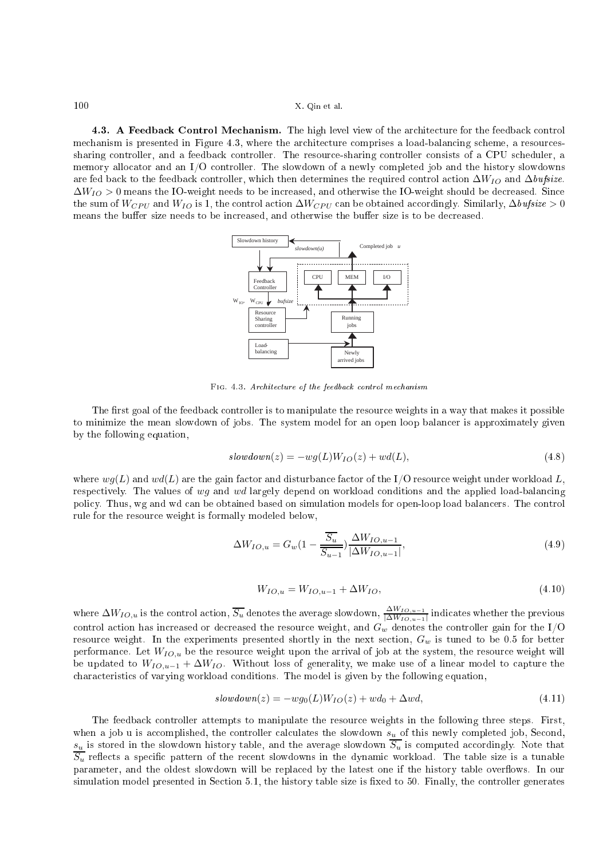4.3. A Feedback Control Mechanism. The high level view of the architecture for the feedback control mechanism is presented in Figure 4.3, where the architecture comprises a load-balancing scheme, a resourcessharing controller, and a feedback controller. The resource-sharing controller consists of a CPU scheduler, a memory allo
ator and an I/O ontroller. The slowdown of a newly ompleted job and the history slowdowns are fed back to the feedback controller, which then determines the required control action  $\Delta W_{IO}$  and  $\Delta \text{bufsize}$ .  $\Delta W_{IO} > 0$  means the IO-weight needs to be increased, and otherwise the IO-weight should be decreased. Since the sum of  $W_{CPU}$  and  $W_{IO}$  is 1, the control action  $\Delta W_{CPU}$  can be obtained accordingly. Similarly,  $\Delta bufsize > 0$ means the buffer size needs to be increased, and otherwise the buffer size is to be decreased.



Fig. 4.3. Architecture of the feedback control mechanism

The first goal of the feedback controller is to manipulate the resource weights in a way that makes it possible to minimize the mean slowdown of jobs. The system model for an open loop balan
er is approximately given by the following equation,

$$
slowdown(z) = -wg(L)W_{IO}(z) + wd(L),
$$
\n(4.8)

where  $wg(L)$  and  $wd(L)$  are the gain factor and disturbance factor of the I/O resource weight under workload L, respectively. The values of wg and wd largely depend on workload conditions and the applied load-balancing policy. Thus, wg and wd can be obtained based on simulation models for open-loop load balancers. The control rule for the resour
e weight is formally modeled below,

$$
\Delta W_{IO,u} = G_w (1 - \frac{\overline{S_u}}{\overline{S_{u-1}}}) \frac{\Delta W_{IO,u-1}}{|\Delta W_{IO,u-1}|},
$$
\n(4.9)

$$
W_{IO,u} = W_{IO,u-1} + \Delta W_{IO},\tag{4.10}
$$

where  $\Delta W_{IO,u}$  is the control action,  $\overline{S_u}$  denotes the average slowdown,  $\frac{\Delta W_{IO,u-1}}{\Delta W_{IO,u-1}}$  $|\Delta W_{IO,u-1}|$  indicates whether the previous control action has increased or decreased the resource weight, and  $G_w$  denotes the controller gain for the I/O resource weight. In the experiments presented shortly in the next section,  $G_w$  is tuned to be 0.5 for better performance. Let  $W_{IO,u}$  be the resource weight upon the arrival of job at the system, the resource weight will be updated to  $W_{IO,u-1} + \Delta W_{IO}$ . Without loss of generality, we make use of a linear model to capture the characteristics of varying workload conditions. The model is given by the following equation,

$$
slowdown(z) = -wg_0(L)W_{IO}(z) + wd_0 + \Delta wd,
$$
\n(4.11)

The feedba
k ontroller attempts to manipulate the resour
e weights in the following three steps. First, when a job u is accomplished, the controller calculates the slowdown  $s_u$  of this newly completed job, Second,  $s_u$  is stored in the slowdown history table, and the average slowdown  $S_u$  is computed accordingly. Note that  $\overline{S_u}$  reflects a specific pattern of the recent slowdowns in the dynamic workload. The table size is a tunable parameter, and the oldest slowdown will be replaced by the latest one if the history table overflows. In our simulation model presented in Section 5.1, the history table size is fixed to 50. Finally, the controller generates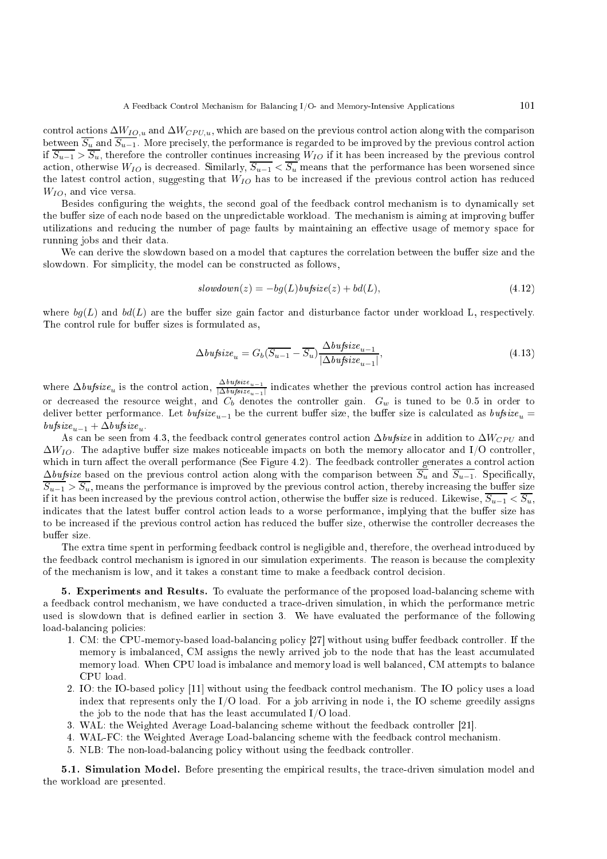control actions  $\Delta W_{IO,u}$  and  $\Delta W_{CPU,u}$ , which are based on the previous control action along with the comparison between  $\overline{S_u}$  and  $\overline{S_{u-1}}$ . More precisely, the performance is regarded to be improved by the previous control action if  $\overline{S_{u-1}} > \overline{S_u}$ , therefore the controller continues increasing  $W_{IO}$  if it has been increased by the previous control action, otherwise  $W_{IO}$  is decreased. Similarly,  $\overline{S_{u-1}} < \overline{S_u}$  means that the performance has been worsened since the latest control action, suggesting that  $W_{IO}$  has to be increased if the previous control action has reduced  $W_{IO}$ , and vice versa.

Besides configuring the weights, the second goal of the feedback control mechanism is to dynamically set the buffer size of each node based on the unpredictable workload. The mechanism is aiming at improving buffer utilizations and reducing the number of page faults by maintaining an effective usage of memory space for running jobs and their data.

We can derive the slowdown based on a model that captures the correlation between the buffer size and the slowdown. For simplicity, the model can be constructed as follows,

$$
slowdown(z) = -bg(L) \text{butsize}(z) + bd(L), \tag{4.12}
$$

where  $bg(L)$  and  $bd(L)$  are the buffer size gain factor and disturbance factor under workload L, respectively. The control rule for buffer sizes is formulated as,

$$
\Delta \text{bufsize}_u = G_b(\overline{S_{u-1}} - \overline{S_u}) \frac{\Delta \text{bufsize}_{u-1}}{|\Delta \text{bufsize}_{u-1}|},\tag{4.13}
$$

where  $\Delta \text{bufsize}_{u}$  is the control action,  $\frac{\Delta \text{bufsize}_{u-1}}{|\Delta \text{bufsize}_{u-1}|}$  indicates whether the previous control action has increased or decreased the resource weight, and  $C_b$  denotes the controller gain.  $G_w$  is tuned to be 0.5 in order to deliver better performance. Let  $\textit{bufsize}_{u-1}$  be the current buffer size, the buffer size is calculated as  $\textit{bufsize}_{u}$  =  $\mathit{bufsize}_{u-1}+\Delta\mathit{bufsize}_u.$ 

As can be seen from 4.3, the feedback control generates control action  $\Delta \text{bufsize}$  in addition to  $\Delta W_{CPU}$  and  $\Delta W_{IO}$ . The adaptive buffer size makes noticeable impacts on both the memory allocator and I/O controller, which in turn affect the overall performance (See Figure 4.2). The feedback controller generates a control action  $\Delta \text{}_{\text{infinite}}$  based on the previous control action along with the comparison between  $\overline{S_u}$  and  $\overline{S_{u-1}}$ . Specifically,  $\overline{S_{u-1}} > \overline{S_u}$ , means the performance is improved by the previous control action, thereby increasing the buffer size if it has been increased by the previous control action, otherwise the buffer size is reduced. Likewise,  $\overline{S_{u-1}} < \overline{S_u}$ , indicates that the latest buffer control action leads to a worse performance, implying that the buffer size has to be increased if the previous control action has reduced the buffer size, otherwise the controller decreases the buffer size.

The extra time spent in performing feedback control is negligible and, therefore, the overhead introduced by the feedback control mechanism is ignored in our simulation experiments. The reason is because the complexity of the me
hanism is low, and it takes a onstant time to make a feedba
k ontrol de
ision.

5. Experiments and Results. To evaluate the performance of the proposed load-balancing scheme with a feedback control mechanism, we have conducted a trace-driven simulation, in which the performance metric used is slowdown that is defined earlier in section 3. We have evaluated the performance of the following load-balancing policies:

- 1. CM: the CPU-memory-based load-balancing policy [27] without using buffer feedback controller. If the memory is imbalanced, CM assigns the newly arrived job to the node that has the least accumulated memory load. When CPU load is imbalance and memory load is well balanced, CM attempts to balance CPU load.
- 2. IO: the IO-based policy [11] without using the feedback control mechanism. The IO policy uses a load index that represents only the  $I/O$  load. For a job arriving in node i, the IO scheme greedily assigns the job to the node that has the least accumulated  $I/O$  load.
- 3. WAL: the Weighted Average Load-balancing scheme without the feedback controller [21].
- 4. WAL-FC: the Weighted Average Load-balancing scheme with the feedback control mechanism.
- 5. NLB: The non-load-balan
ing poli
y without using the feedba
k ontroller.

5.1. Simulation Model. Before presenting the empirical results, the trace-driven simulation model and the workload are presented.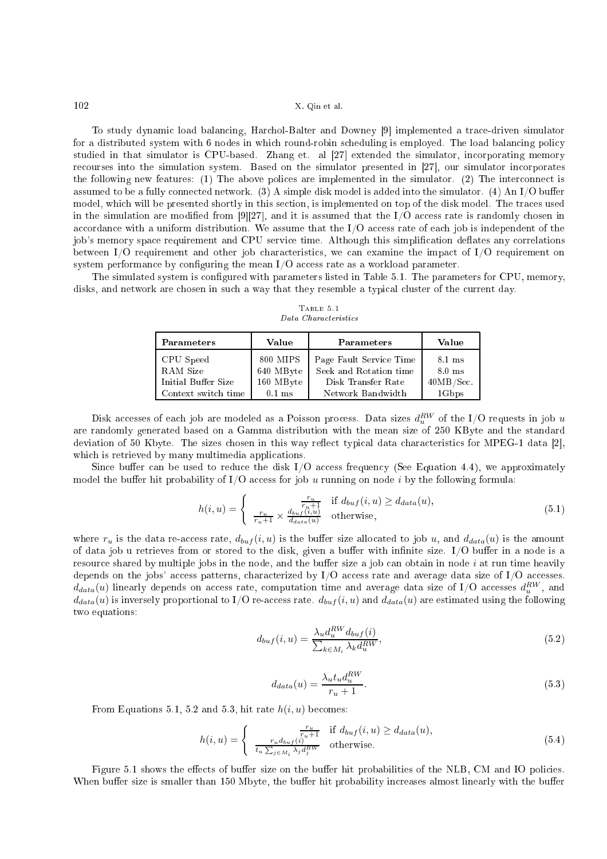To study dynamic load balancing, Harchol-Balter and Downey [9] implemented a trace-driven simulator for a distributed system with 6 nodes in which round-robin scheduling is employed. The load balancing policy studied in that simulator is CPU-based. Zhang et. al [27] extended the simulator, incorporating memory recourses into the simulation system. Based on the simulator presented in [27], our simulator incorporates the following new features: (1) The above polices are implemented in the simulator. (2) The interconnect is assumed to be a fully connected network. (3) A simple disk model is added into the simulator. (4) An I/O buffer model, which will be presented shortly in this section, is implemented on top of the disk model. The traces used in the simulation are modified from  $[9][27]$ , and it is assumed that the I/O access rate is randomly chosen in accordance with a uniform distribution. We assume that the I/O access rate of each job is independent of the job's memory space requirement and CPU service time. Although this simplification deflates any correlations between  $I/O$  requirement and other job characteristics, we can examine the impact of  $I/O$  requirement on system performance by configuring the mean  $I/O$  access rate as a workload parameter.

The simulated system is configured with parameters listed in Table 5.1. The parameters for CPU, memory, disks, and network are chosen in such a way that they resemble a typical cluster of the current day.

Table 5.1 Data Characteristics

| Parameters          | Value     | Parameters              | Value            |
|---------------------|-----------|-------------------------|------------------|
| CPU Speed           | 800 MIPS  | Page Fault Service Time | $8.1 \text{ ms}$ |
| RAM Size            | 640 MByte | Seek and Rotation time  | $8.0 \text{ ms}$ |
| Initial Buffer Size | 160 MByte | Disk Transfer Rate      | 40MB/Sec.        |
| Context switch time | $0.1$ ms  | Network Bandwidth       | 1Gbps            |

Disk accesses of each job are modeled as a Poisson process. Data sizes  $d_u^{RW}$  of the I/O requests in job  $u$ are randomly generated based on a Gamma distribution with the mean size of 250 KByte and the standard deviation of 50 Kbyte. The sizes chosen in this way reflect typical data characteristics for MPEG-1 data [2], which is retrieved by many multimedia applications.

Since buffer can be used to reduce the disk  $I/O$  access frequency (See Equation 4.4), we approximately model the buffer hit probability of  $I/O$  access for job u running on node i by the following formula:

$$
h(i, u) = \begin{cases} \frac{r_u}{r_u + 1} & \text{if } d_{buf}(i, u) \ge d_{data}(u),\\ \frac{r_u}{r_u + 1} \times \frac{d_{buf}(i, u)}{d_{data}(u)} & \text{otherwise,} \end{cases} \tag{5.1}
$$

where  $r_u$  is the data re-access rate,  $d_{buf}(i, u)$  is the buffer size allocated to job u, and  $d_{data}(u)$  is the amount of data job u retrieves from or stored to the disk, given a buffer with infinite size.  $I/O$  buffer in a node is a resource shared by multiple jobs in the node, and the buffer size a job can obtain in node i at run time heavily depends on the jobs' access patterns, characterized by  $I/O$  access rate and average data size of  $I/O$  accesses.  $d_{data}(u)$  linearly depends on access rate, computation time and average data size of I/O accesses  $d_u^{RW}$ , and  $d_{data}(u)$  is inversely proportional to I/O re-access rate.  $d_{buf}(i, u)$  and  $d_{data}(u)$  are estimated using the following two equations:

$$
d_{buf}(i,u) = \frac{\lambda_u d_u^{RW} d_{buf}(i)}{\sum_{k \in M_i} \lambda_k d_u^{RW}},\tag{5.2}
$$

$$
d_{data}(u) = \frac{\lambda_u t_u d_u^{RW}}{r_u + 1}.
$$
\n
$$
(5.3)
$$

From Equations 5.1, 5.2 and 5.3, hit rate  $h(i, u)$  becomes:

$$
h(i, u) = \begin{cases} \frac{r_u}{r_u + 1} & \text{if } d_{buf}(i, u) \ge d_{data}(u),\\ \frac{r_u d_{buf}(i)}{t_u \sum_{j \in M_i} \lambda_j d_j^{RW}} & \text{otherwise.} \end{cases}
$$
(5.4)

Figure 5.1 shows the effects of buffer size on the buffer hit probabilities of the NLB, CM and IO policies. When buffer size is smaller than 150 Mbyte, the buffer hit probability increases almost linearly with the buffer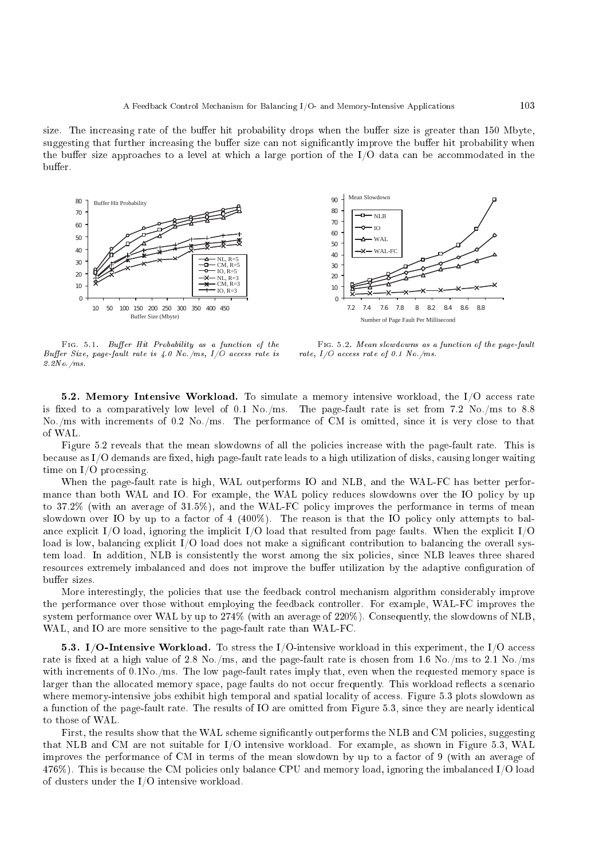size. The increasing rate of the buffer hit probability drops when the buffer size is greater than 150 Mbyte, suggesting that further increasing the buffer size can not significantly improve the buffer hit probability when the buffer size approaches to a level at which a large portion of the  $I/O$  data can be accommodated in the buffer.



 $Fig. 5.1.$  Buffer Hit Probability as a function of the Buffer Size, page-fault rate is  $\angle 4.0$  No./ms,  $I/O$  access rate is 2.2No./ms.

FIG. 5.2. Mean slowdowns as a function of the page-fault rate,  $I/O$  access rate of 0.1 No./ms.

5.2. Memory Intensive Workload. To simulate a memory intensive workload, the  $I/O$  access rate is fixed to a comparatively low level of 0.1 No./ms. The page-fault rate is set from 7.2 No./ms to 8.8 No./ms with increments of 0.2 No./ms. The performance of CM is omitted, since it is very close to that of WAL.

Figure 5.2 reveals that the mean slowdowns of all the policies increase with the page-fault rate. This is because as  $I/O$  demands are fixed, high page-fault rate leads to a high utilization of disks, causing longer waiting time on  $I/O$  processing.

When the page-fault rate is high, WAL outperforms IO and NLB, and the WAL-FC has better performance than both WAL and IO. For example, the WAL policy reduces slowdowns over the IO policy by up to 37.2% (with an average of 31.5%), and the WAL-FC policy improves the performance in terms of mean slowdown over IO by up to a factor of  $4 \ (400\%)$ . The reason is that the IO policy only attempts to balance explicit I/O load, ignoring the implicit I/O load that resulted from page faults. When the explicit I/O load is low, balancing explicit I/O load does not make a significant contribution to balancing the overall system load. In addition, NLB is onsistently the worst among the six poli
ies, sin
e NLB leaves three shared resources extremely imbalanced and does not improve the buffer utilization by the adaptive configuration of buffer sizes.

More interestingly, the policies that use the feedback control mechanism algorithm considerably improve the performan
e over those without employing the feedba
k ontroller. For example, WAL-FC improves the system performan
e over WAL by up to 274% (with an average of 220%). Consequently, the slowdowns of NLB, WAL, and IO are more sensitive to the page-fault rate than WAL-FC.

**5.3.** I/O-Intensive Workload. To stress the I/O-intensive workload in this experiment, the I/O access rate is fixed at a high value of 2.8 No./ms, and the page-fault rate is chosen from 1.6 No./ms to 2.1 No./ms with increments of 0.1No./ms. The low page-fault rates imply that, even when the requested memory space is larger than the allocated memory space, page faults do not occur frequently. This workload reflects a scenario where memory-intensive jobs exhibit high temporal and spatial locality of access. Figure 5.3 plots slowdown as a function of the page-fault rate. The results of IO are omitted from Figure 5.3, since they are nearly identical to those of WAL.

First, the results show that the WAL scheme significantly outperforms the NLB and CM policies, suggesting that NLB and CM are not suitable for I/O intensive workload. For example, as shown in Figure 5.3, WAL improves the performan
e of CM in terms of the mean slowdown by up to a fa
tor of 9 (with an average of 476%). This is be
ause the CM poli
ies only balan
e CPU and memory load, ignoring the imbalan
ed I/O load of lusters under the I/O intensive workload.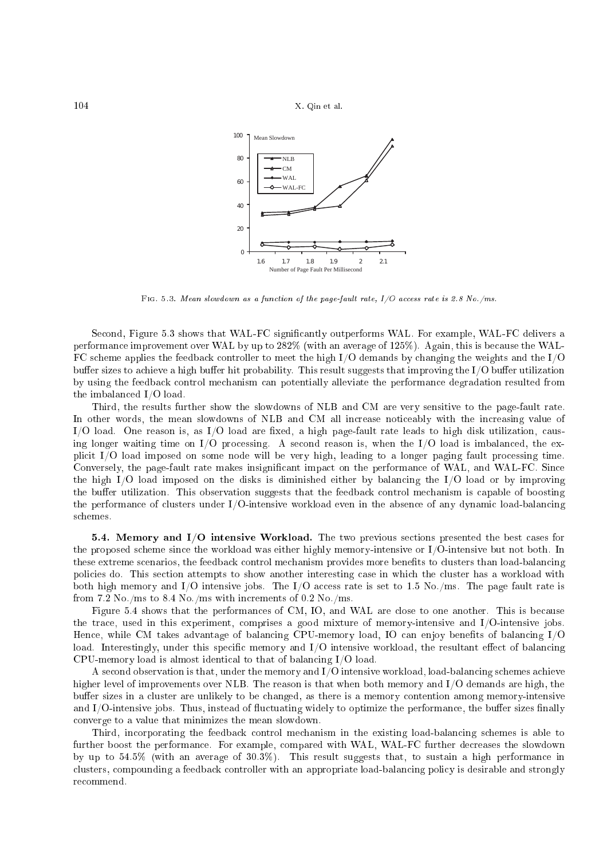

Fig. 5.3. Mean slowdown as a function of the page-fault rate,  $I/O$  access rate is 2.8 No./ms.

Second, Figure 5.3 shows that WAL-FC significantly outperforms WAL. For example, WAL-FC delivers a performance improvement over WAL by up to 282% (with an average of 125%). Again, this is because the WAL-FC s
heme applies the feedba
k ontroller to meet the high I/O demands by hanging the weights and the I/O buffer sizes to achieve a high buffer hit probability. This result suggests that improving the I/O buffer utilization by using the feedba
k ontrol me
hanism an potentially alleviate the performan
e degradation resulted from the imbalan
ed I/O load.

Third, the results further show the slowdowns of NLB and CM are very sensitive to the page-fault rate. In other words, the mean slowdowns of NLB and CM all increase noticeably with the increasing value of  $I/O$  load. One reason is, as  $I/O$  load are fixed, a high page-fault rate leads to high disk utilization, causing longer waiting time on  $I/O$  processing. A second reason is, when the  $I/O$  load is imbalanced, the explicit I/O load imposed on some node will be very high, leading to a longer paging fault processing time. Conversely, the page-fault rate makes insignificant impact on the performance of WAL, and WAL-FC. Since the high I/O load imposed on the disks is diminished either by balan
ing the I/O load or by improving the buffer utilization. This observation suggests that the feedback control mechanism is capable of boosting the performance of clusters under I/O-intensive workload even in the absence of any dynamic load-balancing s
hemes.

**5.4. Memory and I/O intensive Workload.** The two previous sections presented the best cases for the proposed s
heme sin
e the workload was either highly memory-intensive or I/O-intensive but not both. In these extreme scenarios, the feedback control mechanism provides more benefits to clusters than load-balancing policies do. This section attempts to show another interesting case in which the cluster has a workload with both high memory and I/O intensive jobs. The I/O access rate is set to 1.5 No./ms. The page fault rate is from 7.2 No./ms to 8.4 No./ms with increments of 0.2 No./ms.

Figure 5.4 shows that the performances of CM, IO, and WAL are close to one another. This is because the tra
e, used in this experiment, omprises a good mixture of memory-intensive and I/O-intensive jobs. Hence, while CM takes advantage of balancing CPU-memory load, IO can enjoy benefits of balancing I/O load. Interestingly, under this specific memory and  $I/O$  intensive workload, the resultant effect of balancing CPU-memory load is almost identical to that of balancing  $I/O$  load.

A se
ond observation is that, under the memory and I/O intensive workload, load-balan
ing s
hemes a
hieve higher level of improvements over NLB. The reason is that when both memory and I/O demands are high, the buffer sizes in a cluster are unlikely to be changed, as there is a memory contention among memory-intensive and I/O-intensive jobs. Thus, instead of fluctuating widely to optimize the performance, the buffer sizes finally onverge to a value that minimizes the mean slowdown.

Third, in
orporating the feedba
k ontrol me
hanism in the existing load-balan
ing s
hemes is able to further boost the performance. For example, compared with WAL, WAL-FC further decreases the slowdown by up to 54.5% (with an average of 30.3%). This result suggests that, to sustain a high performance in clusters, compounding a feedback controller with an appropriate load-balancing policy is desirable and strongly re
ommend.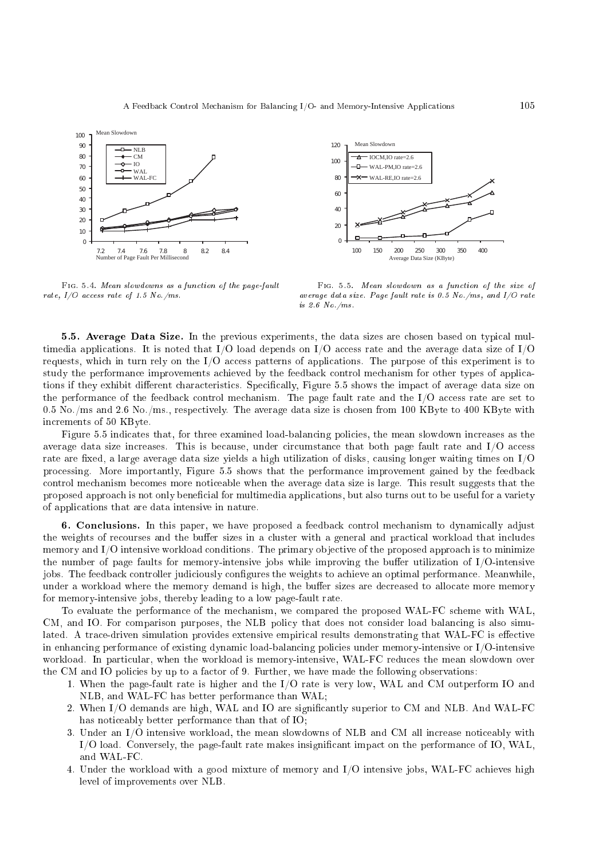

FIG. 5.4. Mean slowdowns as a function of the page-fault rate,  $I/O$  access rate of 1.5 No./ms.



FIG. 5.5. Mean slowdown as a function of the size of average data size. Page fault rate is 0.5 No./ms, and I/O rate is 2.6 No./ms.

5.5. Average Data Size. In the previous experiments, the data sizes are chosen based on typical multimedia applications. It is noted that I/O load depends on I/O access rate and the average data size of I/O requests, which in turn rely on the I/O access patterns of applications. The purpose of this experiment is to study the performance improvements achieved by the feedback control mechanism for other types of applications if they exhibit different characteristics. Specifically, Figure 5.5 shows the impact of average data size on the performance of the feedback control mechanism. The page fault rate and the I/O access rate are set to 0.5 No./ms and 2.6 No./ms., respectively. The average data size is chosen from 100 KByte to 400 KByte with in
rements of 50 KByte.

Figure 5.5 indicates that, for three examined load-balancing policies, the mean slowdown increases as the average data size increases. This is because, under circumstance that both page fault rate and I/O access rate are fixed, a large average data size yields a high utilization of disks, causing longer waiting times on  $I/O$ pro
essing. More importantly, Figure 5.5 shows that the performan
e improvement gained by the feedba
k ontrol me
hanism be
omes more noti
eable when the average data size is large. This result suggests that the proposed approach is not only beneficial for multimedia applications, but also turns out to be useful for a variety of appli
ations that are data intensive in nature.

6. Conclusions. In this paper, we have proposed a feedback control mechanism to dynamically adjust the weights of recourses and the buffer sizes in a cluster with a general and practical workload that includes memory and I/O intensive workload conditions. The primary objective of the proposed approach is to minimize the number of page faults for memory-intensive jobs while improving the buffer utilization of  $I/O$ -intensive jobs. The feedback controller judiciously configures the weights to achieve an optimal performance. Meanwhile, under a workload where the memory demand is high, the buffer sizes are decreased to allocate more memory for memory-intensive jobs, thereby leading to a low page-fault rate.

To evaluate the performance of the mechanism, we compared the proposed WAL-FC scheme with WAL, CM, and IO. For comparison purposes, the NLB policy that does not consider load balancing is also simulated. A trace-driven simulation provides extensive empirical results demonstrating that WAL-FC is effective in enhancing performance of existing dynamic load-balancing policies under memory-intensive or I/O-intensive workload. In particular, when the workload is memory-intensive, WAL-FC reduces the mean slowdown over the CM and IO policies by up to a factor of 9. Further, we have made the following observations:

- 1. When the page-fault rate is higher and the I/O rate is very low, WAL and CM outperform IO and NLB, and WAL-FC has better performan
e than WAL;
- 2. When I/O demands are high, WAL and IO are significantly superior to CM and NLB. And WAL-FC has noti
eably better performan
e than that of IO;
- 3. Under an I/O intensive workload, the mean slowdowns of NLB and CM all increase noticeably with I/O load. Conversely, the page-fault rate makes insignificant impact on the performance of IO, WAL, and WAL-FC.
- 4. Under the workload with a good mixture of memory and I/O intensive jobs, WAL-FC a
hieves high level of improvements over NLB.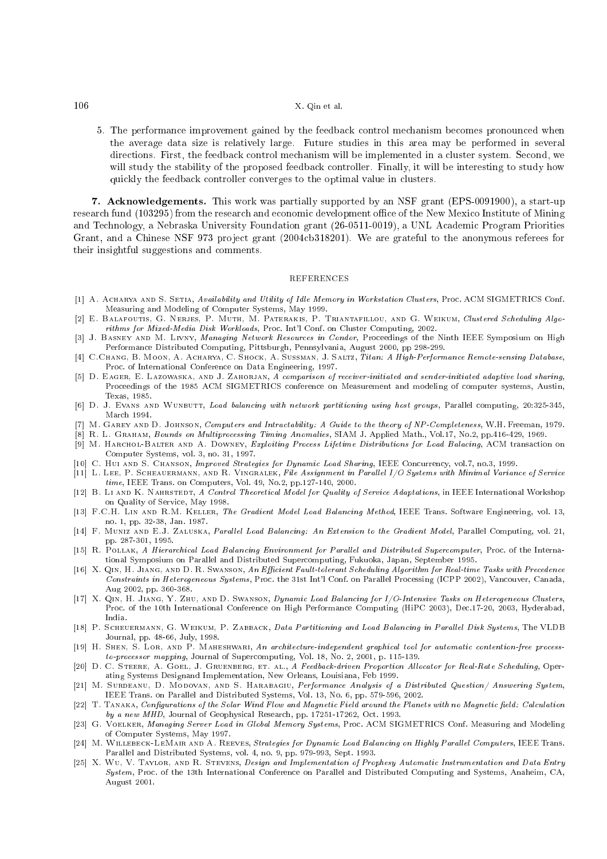5. The performan
e improvement gained by the feedba
k ontrol me
hanism be
omes pronoun
ed when the average data size is relatively large. Future studies in this area may be performed in several directions. First, the feedback control mechanism will be implemented in a cluster system. Second, we will study the stability of the proposed feedback controller. Finally, it will be interesting to study how quickly the feedback controller converges to the optimal value in clusters.

7. A
knowledgements. This work was partially supported by an NSF grant (EPS-0091900), a start-up research fund (103295) from the research and economic development office of the New Mexico Institute of Mining and Technology, a Nebraska University Foundation grant (26-0511-0019), a UNL Academic Program Priorities Grant, and a Chinese NSF 973 project grant (2004cb318201). We are grateful to the anonymous referees for their insightful suggestions and omments.

#### **REFERENCES**

- [1] A. ACHARYA AND S. SETIA, Availability and Utility of Idle Memory in Workstation Clusters, Proc. ACM SIGMETRICS Conf. Measuring and Modeling of Computer Systems, May 1999.
- [2] E. BALAFOUTIS, G. NERJES, P. MUTH, M. PATERAKIS, P. TRIANTAFILLOU, AND G. WEIKUM, Clustered Scheduling Algorithms for Mixed-Media Disk Workloads, Pro
. Int'l Conf. on Cluster Computing, 2002.
- [3] J. BASNEY AND M. LIVNY, Managing Network Resources in Condor, Proceedings of the Ninth IEEE Symposium on High Performan
e Distributed Computing, Pittsburgh, Pennsylvania, August 2000, pp 298-299.
- [4] C.CHANG, B. MOON, A. ACHARYA, C. SHOCK, A. SUSSMAN, J. SALTZ, Titan: A High-Performance Remote-sensing Database, Pro
. of International Conferen
e on Data Engineering, 1997.
- [5] D. EAGER, E. LAZOWASKA, AND J. ZAHORJAN, A comparison of receiver-initiated and sender-initiated adaptive load sharing, Proceedings of the 1985 ACM SIGMETRICS conference on Measurement and modeling of computer systems, Austin, Texas, 1985. Texas, 1985. In the same state of the same state of the same state of the same state of the same state of the
- [6] D. J. Evans and WUNBUTT, Load balancing with network partitioning using host groups, Parallel computing, 20:325-345, Mar
h 1994.
- [7] M. GAREY AND D. JOHNSON, Computers and Intractability: A Guide to the theory of NP-Completeness, W.H. Freeman, 1979.
- R. L. GRAHAM, Bounds on Multiprocessing Timing Anomalies, SIAM J. Applied Math., Vol.17, No.2, pp.416-429, 1969. [9] M. HARCHOL-BALTER AND A. DOWNEY, Exploiting Process Lifetime Distributions for Load Balacing, ACM transaction on
- Computer Systems, vol. 3, no. 31, 1997.
- [10] C. HUI AND S. CHANSON, *Improved Strategies for Dynamic Load Sharing*, IEEE Concurrency, vol.7, no.3, 1999.
- [11] L. LEE, P. SCHEAUERMANN, AND R. VINGRALEK, File Assignment in Parallel I/O Systems with Minimal Variance of Service
- time, IEEE Trans. on Computers, Vol. 49, No.2, pp.127-140, 2000. [12] B. LI AND K. NAHRSTEDT, A Control Theoretical Model for Quality of Service Adaptations, in IEEE International Workshop on Quality of Servi
e, May 1998.
- [13] F.C.H. LIN AND R.M. KELLER, The Gradient Model Load Balancing Method, IEEE Trans. Software Engineering, vol. 13, no. 1, pp. 32-38, Jan. 1987.
- [14] F. MUNIZ AND E.J. ZALUSKA, Parallel Load Balancing: An Extension to the Gradient Model, Parallel Computing, vol. 21, pp. 287-301, 1995.
- [15] R. POLLAK, A Hierarchical Load Balancing Environment for Parallel and Distributed Supercomputer, Proc. of the International Symposium on Parallel and Distributed Super
omputing, Fukuoka, Japan, September 1995.
- [16] X. QIN, H. JIANG, AND D. R. SWANSON, An Efficient Fault-tolerant Scheduling Algorithm for Real-time Tasks with Precedence Constraints in Heterogeneous Systems, Proc. the 31st Int'l Conf. on Parallel Processing (ICPP 2002), Vancouver, Canada, Aug 2002, pp. 360-368.
- [17] X. Qin, H. Jiang, Y. Zhu, and D. Swanson, Dynamic Load Balancing for I/O-Intensive Tasks on Heterogeneous Clusters, Proc. of the 10th International Conference on High Performance Computing (HiPC 2003), Dec.17-20, 2003, Hyderabad, India.
- [18] P. SCHEUERMANN, G. WEIKUM, P. ZABBACK, Data Partitioning and Load Balancing in Parallel Disk Systems, The VLDB Journal, pp. 48-66, July, 1998.
- [19] H. SHEN, S. LOR, AND P. MAHESHWARI, An architecture-independent graphical tool for automatic contention-free processto-processor mapping, Journal of Supercomputing, Vol. 18, No. 2, 2001, p. 115-139.
- [20] D. C. STEERE, A. GOEL, J. GRUENBERG, ET. AL., A Feedback-driven Proportion Allocator for Real-Rate Scheduling, Operating Systems Designand Implementation, New Orleans, Louisiana, Feb 1999.
- [21] M. SURDEANU, D. MODOVAN, AND S. HARABAGIU, Performance Analysis of a Distributed Question/Answering System, IEEE Trans. on Parallel and Distributed Systems, Vol. 13, No. 6, pp. 579-596, 2002.
- [22] T. TANAKA, Configurations of the Solar Wind Flow and Magnetic Field around the Planets with no Magnetic field: Calculation by a new MHD, Journal of Geophysical Research, pp. 17251-17262, Oct. 1993.
- [23] G. VOELKER, Managing Server Load in Global Memory Systems, Proc. ACM SIGMETRICS Conf. Measuring and Modeling of Computer Systems, May 1997.
- [24] M. WILLEBECK-LEMAIR AND A. REEVES, Strategies for Dynamic Load Balancing on Highly Parallel Computers, IEEE Trans. Parallel and Distributed Systems, vol. 4, no. 9, pp. 979-993, Sept. 1993.
- [25] X. WU, V. TAYLOR, AND R. STEVENS, Design and Implementation of Prophesy Automatic Instrumentation and Data Entry System, Pro
. of the 13th International Conferen
e on Parallel and Distributed Computing and Systems, Anaheim, CA, August 2001.